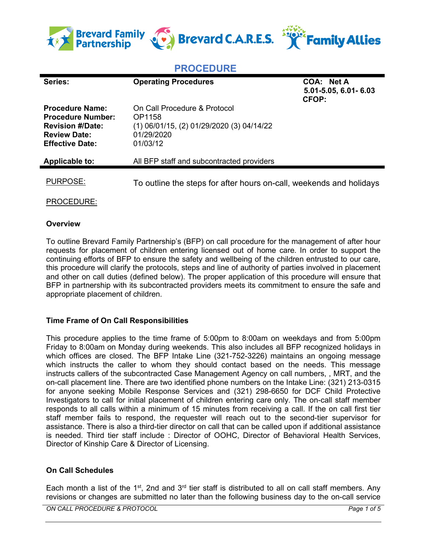

# **PROCEDURE**

| Series:                                                                                                                        | <b>Operating Procedures</b>                                                                                   | COA: Net A<br>5.01-5.05, 6.01-6.03<br>CFOP: |
|--------------------------------------------------------------------------------------------------------------------------------|---------------------------------------------------------------------------------------------------------------|---------------------------------------------|
| <b>Procedure Name:</b><br><b>Procedure Number:</b><br><b>Revision #/Date:</b><br><b>Review Date:</b><br><b>Effective Date:</b> | On Call Procedure & Protocol<br>OP1158<br>(1) 06/01/15, (2) 01/29/2020 (3) 04/14/22<br>01/29/2020<br>01/03/12 |                                             |
| Applicable to:                                                                                                                 | All BFP staff and subcontracted providers                                                                     |                                             |
| PURPOSE:                                                                                                                       | To outline the steps for after hours on-call, weekends and holidays                                           |                                             |

PROCEDURE:

#### **Overview**

To outline Brevard Family Partnership's (BFP) on call procedure for the management of after hour requests for placement of children entering licensed out of home care. In order to support the continuing efforts of BFP to ensure the safety and wellbeing of the children entrusted to our care, this procedure will clarify the protocols, steps and line of authority of parties involved in placement and other on call duties (defined below). The proper application of this procedure will ensure that BFP in partnership with its subcontracted providers meets its commitment to ensure the safe and appropriate placement of children.

## **Time Frame of On Call Responsibilities**

This procedure applies to the time frame of 5:00pm to 8:00am on weekdays and from 5:00pm Friday to 8:00am on Monday during weekends. This also includes all BFP recognized holidays in which offices are closed. The BFP Intake Line (321-752-3226) maintains an ongoing message which instructs the caller to whom they should contact based on the needs. This message instructs callers of the subcontracted Case Management Agency on call numbers, , MRT, and the on-call placement line. There are two identified phone numbers on the Intake Line: (321) 213-0315 for anyone seeking Mobile Response Services and (321) 298-6650 for DCF Child Protective Investigators to call for initial placement of children entering care only. The on-call staff member responds to all calls within a minimum of 15 minutes from receiving a call. If the on call first tier staff member fails to respond, the requester will reach out to the second-tier supervisor for assistance. There is also a third-tier director on call that can be called upon if additional assistance is needed. Third tier staff include : Director of OOHC, Director of Behavioral Health Services, Director of Kinship Care & Director of Licensing.

## **On Call Schedules**

Each month a list of the 1<sup>st</sup>, 2nd and 3<sup>rd</sup> tier staff is distributed to all on call staff members. Any revisions or changes are submitted no later than the following business day to the on-call service

*ON CALL PROCEDURE & PROTOCOL Page 1 of 5*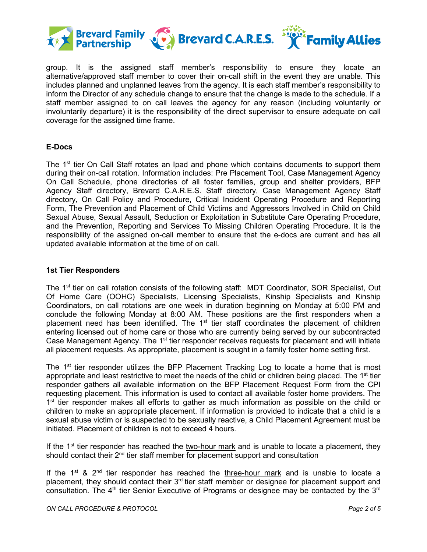

group. It is the assigned staff member's responsibility to ensure they locate an alternative/approved staff member to cover their on-call shift in the event they are unable. This includes planned and unplanned leaves from the agency. It is each staff member's responsibility to inform the Director of any schedule change to ensure that the change is made to the schedule. If a staff member assigned to on call leaves the agency for any reason (including voluntarily or involuntarily departure) it is the responsibility of the direct supervisor to ensure adequate on call coverage for the assigned time frame.

## **E-Docs**

The 1<sup>st</sup> tier On Call Staff rotates an Ipad and phone which contains documents to support them during their on-call rotation. Information includes: Pre Placement Tool, Case Management Agency On Call Schedule, phone directories of all foster families, group and shelter providers, BFP Agency Staff directory, Brevard C.A.R.E.S. Staff directory, Case Management Agency Staff directory, On Call Policy and Procedure, Critical Incident Operating Procedure and Reporting Form, The Prevention and Placement of Child Victims and Aggressors Involved in Child on Child Sexual Abuse, Sexual Assault, Seduction or Exploitation in Substitute Care Operating Procedure, and the Prevention, Reporting and Services To Missing Children Operating Procedure. It is the responsibility of the assigned on-call member to ensure that the e-docs are current and has all updated available information at the time of on call.

#### **1st Tier Responders**

The 1<sup>st</sup> tier on call rotation consists of the following staff: MDT Coordinator, SOR Specialist, Out Of Home Care (OOHC) Specialists, Licensing Specialists, Kinship Specialists and Kinship Coordinators, on call rotations are one week in duration beginning on Monday at 5:00 PM and conclude the following Monday at 8:00 AM. These positions are the first responders when a placement need has been identified. The 1<sup>st</sup> tier staff coordinates the placement of children entering licensed out of home care or those who are currently being served by our subcontracted Case Management Agency. The 1<sup>st</sup> tier responder receives requests for placement and will initiate all placement requests. As appropriate, placement is sought in a family foster home setting first.

The 1<sup>st</sup> tier responder utilizes the BFP Placement Tracking Log to locate a home that is most appropriate and least restrictive to meet the needs of the child or children being placed. The  $1<sup>st</sup>$  tier responder gathers all available information on the BFP Placement Request Form from the CPI requesting placement. This information is used to contact all available foster home providers. The 1<sup>st</sup> tier responder makes all efforts to gather as much information as possible on the child or children to make an appropriate placement. If information is provided to indicate that a child is a sexual abuse victim or is suspected to be sexually reactive, a Child Placement Agreement must be initiated. Placement of children is not to exceed 4 hours.

If the  $1<sup>st</sup>$  tier responder has reached the two-hour mark and is unable to locate a placement, they should contact their 2<sup>nd</sup> tier staff member for placement support and consultation

If the  $1<sup>st</sup>$  &  $2<sup>nd</sup>$  tier responder has reached the three-hour mark and is unable to locate a placement, they should contact their 3<sup>rd</sup> tier staff member or designee for placement support and consultation. The  $4<sup>th</sup>$  tier Senior Executive of Programs or designee may be contacted by the  $3<sup>rd</sup>$ 

*ON CALL PROCEDURE & PROTOCOL Page 2 of 5*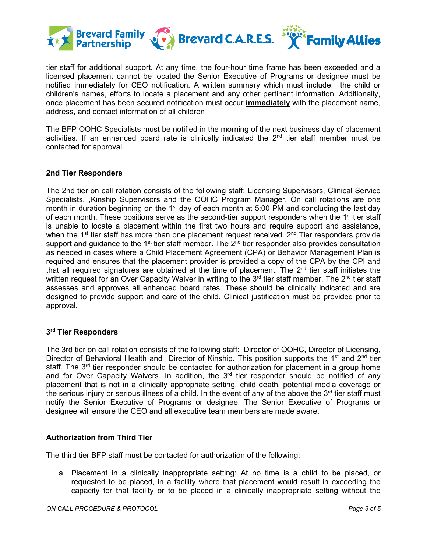

tier staff for additional support. At any time, the four-hour time frame has been exceeded and a licensed placement cannot be located the Senior Executive of Programs or designee must be notified immediately for CEO notification. A written summary which must include: the child or children's names, efforts to locate a placement and any other pertinent information. Additionally, once placement has been secured notification must occur **immediately** with the placement name, address, and contact information of all children

The BFP OOHC Specialists must be notified in the morning of the next business day of placement activities. If an enhanced board rate is clinically indicated the  $2<sup>nd</sup>$  tier staff member must be contacted for approval.

## **2nd Tier Responders**

The 2nd tier on call rotation consists of the following staff: Licensing Supervisors, Clinical Service Specialists, ,Kinship Supervisors and the OOHC Program Manager. On call rotations are one month in duration beginning on the 1<sup>st</sup> day of each month at 5:00 PM and concluding the last day of each month. These positions serve as the second-tier support responders when the  $1<sup>st</sup>$  tier staff is unable to locate a placement within the first two hours and require support and assistance, when the  $1<sup>st</sup>$  tier staff has more than one placement request received.  $2<sup>nd</sup>$  Tier responders provide support and guidance to the  $1<sup>st</sup>$  tier staff member. The  $2<sup>nd</sup>$  tier responder also provides consultation as needed in cases where a Child Placement Agreement (CPA) or Behavior Management Plan is required and ensures that the placement provider is provided a copy of the CPA by the CPI and that all required signatures are obtained at the time of placement. The  $2<sup>nd</sup>$  tier staff initiates the written request for an Over Capacity Waiver in writing to the  $3<sup>rd</sup>$  tier staff member. The  $2<sup>nd</sup>$  tier staff assesses and approves all enhanced board rates. These should be clinically indicated and are designed to provide support and care of the child. Clinical justification must be provided prior to approval.

## **3rd Tier Responders**

The 3rd tier on call rotation consists of the following staff: Director of OOHC, Director of Licensing, Director of Behavioral Health and Director of Kinship. This position supports the 1<sup>st</sup> and 2<sup>nd</sup> tier staff. The 3<sup>rd</sup> tier responder should be contacted for authorization for placement in a group home and for Over Capacity Waivers. In addition, the  $3<sup>rd</sup>$  tier responder should be notified of any placement that is not in a clinically appropriate setting, child death, potential media coverage or the serious injury or serious illness of a child. In the event of any of the above the  $3<sup>rd</sup>$  tier staff must notify the Senior Executive of Programs or designee. The Senior Executive of Programs or designee will ensure the CEO and all executive team members are made aware.

## **Authorization from Third Tier**

The third tier BFP staff must be contacted for authorization of the following:

a. Placement in a clinically inappropriate setting: At no time is a child to be placed, or requested to be placed, in a facility where that placement would result in exceeding the capacity for that facility or to be placed in a clinically inappropriate setting without the

*ON CALL PROCEDURE & PROTOCOL Page 3 of 5*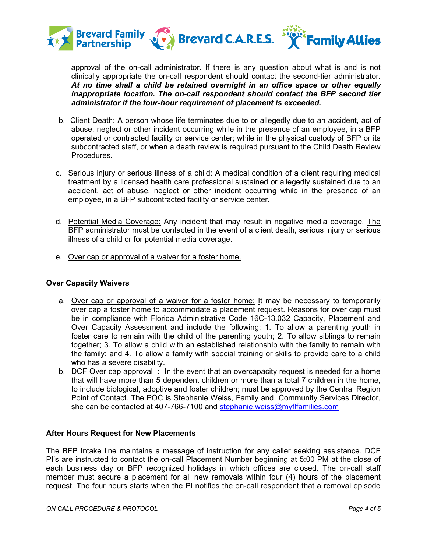

approval of the on-call administrator. If there is any question about what is and is not clinically appropriate the on-call respondent should contact the second-tier administrator. *At no time shall a child be retained overnight in an office space or other equally inappropriate location. The on-call respondent should contact the BFP second tier administrator if the four-hour requirement of placement is exceeded.*

- b. Client Death: A person whose life terminates due to or allegedly due to an accident, act of abuse, neglect or other incident occurring while in the presence of an employee, in a BFP operated or contracted facility or service center; while in the physical custody of BFP or its subcontracted staff, or when a death review is required pursuant to the Child Death Review Procedures.
- c. Serious injury or serious illness of a child: A medical condition of a client requiring medical treatment by a licensed health care professional sustained or allegedly sustained due to an accident, act of abuse, neglect or other incident occurring while in the presence of an employee, in a BFP subcontracted facility or service center.
- d. Potential Media Coverage: Any incident that may result in negative media coverage. The BFP administrator must be contacted in the event of a client death, serious injury or serious illness of a child or for potential media coverage.
- e. Over cap or approval of a waiver for a foster home.

## **Over Capacity Waivers**

- a. Over cap or approval of a waiver for a foster home: It may be necessary to temporarily over cap a foster home to accommodate a placement request. Reasons for over cap must be in compliance with Florida Administrative Code 16C-13.032 Capacity, Placement and Over Capacity Assessment and include the following: 1. To allow a parenting youth in foster care to remain with the child of the parenting youth; 2. To allow siblings to remain together; 3. To allow a child with an established relationship with the family to remain with the family; and 4. To allow a family with special training or skills to provide care to a child who has a severe disability.
- b. DCF Over cap approval  $\pm$  In the event that an overcapacity request is needed for a home that will have more than 5 dependent children or more than a total 7 children in the home, to include biological, adoptive and foster children; must be approved by the Central Region Point of Contact. The POC is Stephanie Weiss, Family and Community Services Director, she can be contacted at 407-766-7100 and [stephanie.weiss@myflfamilies.com](mailto:stephanie.weiss@myflfamilies.com)

## **After Hours Request for New Placements**

The BFP Intake line maintains a message of instruction for any caller seeking assistance. DCF PI's are instructed to contact the on-call Placement Number beginning at 5:00 PM at the close of each business day or BFP recognized holidays in which offices are closed. The on-call staff member must secure a placement for all new removals within four (4) hours of the placement request. The four hours starts when the PI notifies the on-call respondent that a removal episode